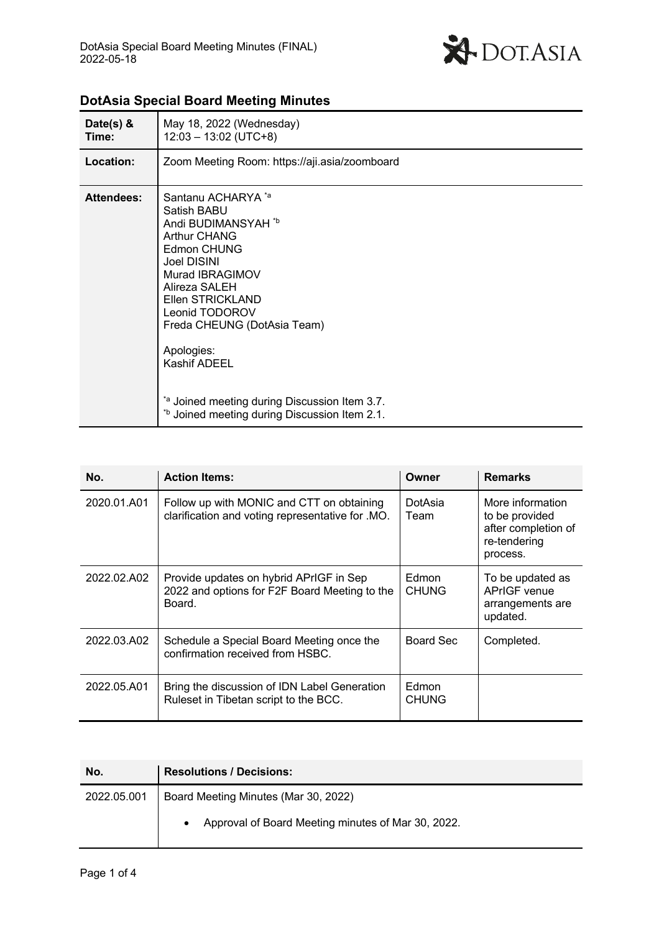

| Date(s) $&$<br>Time: | May 18, 2022 (Wednesday)<br>$12:03 - 13:02$ (UTC+8)                                                                                                                                                                                                                                                                                                                                        |
|----------------------|--------------------------------------------------------------------------------------------------------------------------------------------------------------------------------------------------------------------------------------------------------------------------------------------------------------------------------------------------------------------------------------------|
| Location:            | Zoom Meeting Room: https://aji.asia/zoomboard                                                                                                                                                                                                                                                                                                                                              |
| <b>Attendees:</b>    | Santanu ACHARYA <sup>*a</sup><br>Satish BABU<br>Andi BUDIMANSYAH *b<br><b>Arthur CHANG</b><br>Edmon CHUNG<br><b>Joel DISINI</b><br>Murad IBRAGIMOV<br>Alireza SALEH<br>Ellen STRICKLAND<br>Leonid TODOROV<br>Freda CHEUNG (DotAsia Team)<br>Apologies:<br><b>Kashif ADEEL</b><br>*a Joined meeting during Discussion Item 3.7.<br><sup>*b</sup> Joined meeting during Discussion Item 2.1. |

# **DotAsia Special Board Meeting Minutes**

| No.         | <b>Action Items:</b>                                                                               | Owner                 | <b>Remarks</b>                                                                        |
|-------------|----------------------------------------------------------------------------------------------------|-----------------------|---------------------------------------------------------------------------------------|
| 2020.01.A01 | Follow up with MONIC and CTT on obtaining<br>clarification and voting representative for .MO.      | DotAsia<br>Team       | More information<br>to be provided<br>after completion of<br>re-tendering<br>process. |
| 2022.02.A02 | Provide updates on hybrid APrIGF in Sep<br>2022 and options for F2F Board Meeting to the<br>Board. | Edmon<br><b>CHUNG</b> | To be updated as<br><b>APrIGF</b> venue<br>arrangements are<br>updated.               |
| 2022.03.A02 | Schedule a Special Board Meeting once the<br>confirmation received from HSBC.                      | Board Sec             | Completed.                                                                            |
| 2022.05.A01 | Bring the discussion of IDN Label Generation<br>Ruleset in Tibetan script to the BCC.              | Edmon<br><b>CHUNG</b> |                                                                                       |

| No.         | <b>Resolutions / Decisions:</b>                                 |
|-------------|-----------------------------------------------------------------|
| 2022.05.001 | Board Meeting Minutes (Mar 30, 2022)                            |
|             | Approval of Board Meeting minutes of Mar 30, 2022.<br>$\bullet$ |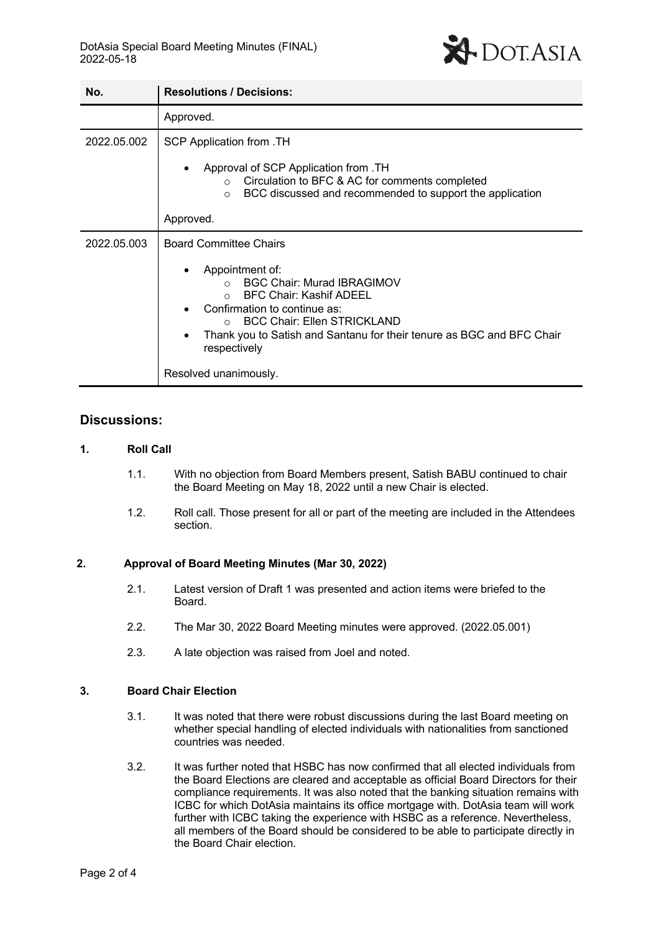

| No.         | <b>Resolutions / Decisions:</b>                                                                                                                                                                                                                                                                                                                       |
|-------------|-------------------------------------------------------------------------------------------------------------------------------------------------------------------------------------------------------------------------------------------------------------------------------------------------------------------------------------------------------|
|             | Approved.                                                                                                                                                                                                                                                                                                                                             |
| 2022.05.002 | SCP Application from .TH<br>Approval of SCP Application from .TH<br>Circulation to BFC & AC for comments completed<br>$\circ$<br>BCC discussed and recommended to support the application<br>$\circ$<br>Approved.                                                                                                                                     |
| 2022.05.003 | <b>Board Committee Chairs</b><br>Appointment of:<br><b>BGC Chair: Murad IBRAGIMOV</b><br>$\Omega$<br><b>BFC Chair: Kashif ADEEL</b><br>$\bigcap$<br>Confirmation to continue as:<br><b>BCC Chair: Ellen STRICKLAND</b><br>$\bigcap$<br>Thank you to Satish and Santanu for their tenure as BGC and BFC Chair<br>respectively<br>Resolved unanimously. |

## **Discussions:**

## **1. Roll Call**

- 1.1. With no objection from Board Members present, Satish BABU continued to chair the Board Meeting on May 18, 2022 until a new Chair is elected.
- 1.2. Roll call. Those present for all or part of the meeting are included in the Attendees section.

## **2. Approval of Board Meeting Minutes (Mar 30, 2022)**

- 2.1. Latest version of Draft 1 was presented and action items were briefed to the Board.
- 2.2. The Mar 30, 2022 Board Meeting minutes were approved. (2022.05.001)
- 2.3. A late objection was raised from Joel and noted.

#### **3. Board Chair Election**

- 3.1. It was noted that there were robust discussions during the last Board meeting on whether special handling of elected individuals with nationalities from sanctioned countries was needed.
- 3.2. It was further noted that HSBC has now confirmed that all elected individuals from the Board Elections are cleared and acceptable as official Board Directors for their compliance requirements. It was also noted that the banking situation remains with ICBC for which DotAsia maintains its office mortgage with. DotAsia team will work further with ICBC taking the experience with HSBC as a reference. Nevertheless, all members of the Board should be considered to be able to participate directly in the Board Chair election.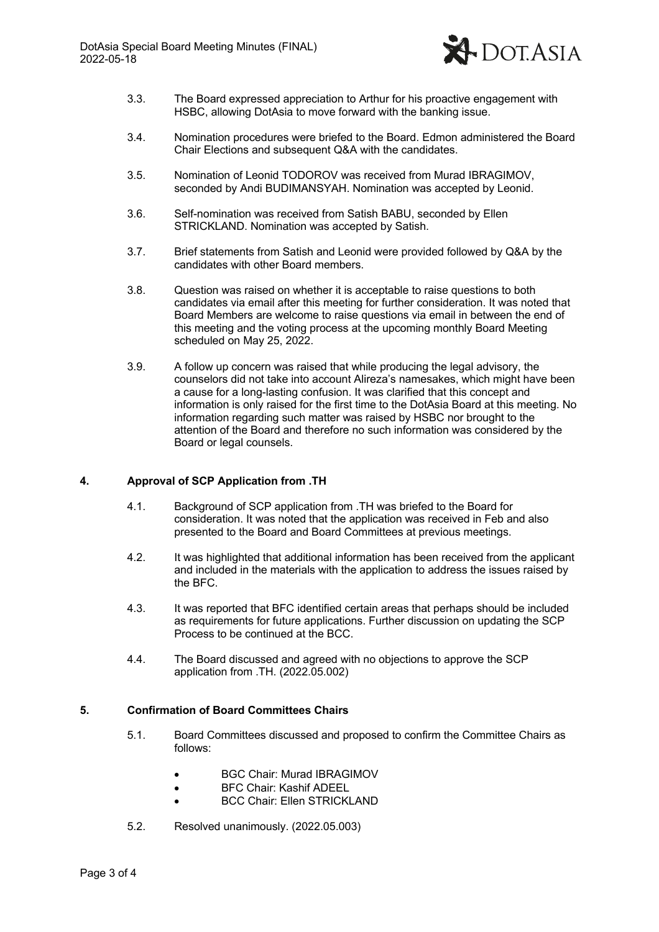

- 3.3. The Board expressed appreciation to Arthur for his proactive engagement with HSBC, allowing DotAsia to move forward with the banking issue.
- 3.4. Nomination procedures were briefed to the Board. Edmon administered the Board Chair Elections and subsequent Q&A with the candidates.
- 3.5. Nomination of Leonid TODOROV was received from Murad IBRAGIMOV, seconded by Andi BUDIMANSYAH. Nomination was accepted by Leonid.
- 3.6. Self-nomination was received from Satish BABU, seconded by Ellen STRICKLAND. Nomination was accepted by Satish.
- 3.7. Brief statements from Satish and Leonid were provided followed by Q&A by the candidates with other Board members.
- 3.8. Question was raised on whether it is acceptable to raise questions to both candidates via email after this meeting for further consideration. It was noted that Board Members are welcome to raise questions via email in between the end of this meeting and the voting process at the upcoming monthly Board Meeting scheduled on May 25, 2022.
- 3.9. A follow up concern was raised that while producing the legal advisory, the counselors did not take into account Alireza's namesakes, which might have been a cause for a long-lasting confusion. It was clarified that this concept and information is only raised for the first time to the DotAsia Board at this meeting. No information regarding such matter was raised by HSBC nor brought to the attention of the Board and therefore no such information was considered by the Board or legal counsels.

## **4. Approval of SCP Application from .TH**

- 4.1. Background of SCP application from .TH was briefed to the Board for consideration. It was noted that the application was received in Feb and also presented to the Board and Board Committees at previous meetings.
- 4.2. It was highlighted that additional information has been received from the applicant and included in the materials with the application to address the issues raised by the BFC.
- 4.3. It was reported that BFC identified certain areas that perhaps should be included as requirements for future applications. Further discussion on updating the SCP Process to be continued at the BCC.
- 4.4. The Board discussed and agreed with no objections to approve the SCP application from .TH. (2022.05.002)

#### **5. Confirmation of Board Committees Chairs**

- 5.1. Board Committees discussed and proposed to confirm the Committee Chairs as follows:
	- BGC Chair: Murad IBRAGIMOV
	- BFC Chair: Kashif ADEEL
	- BCC Chair: Ellen STRICKLAND
- 5.2. Resolved unanimously. (2022.05.003)